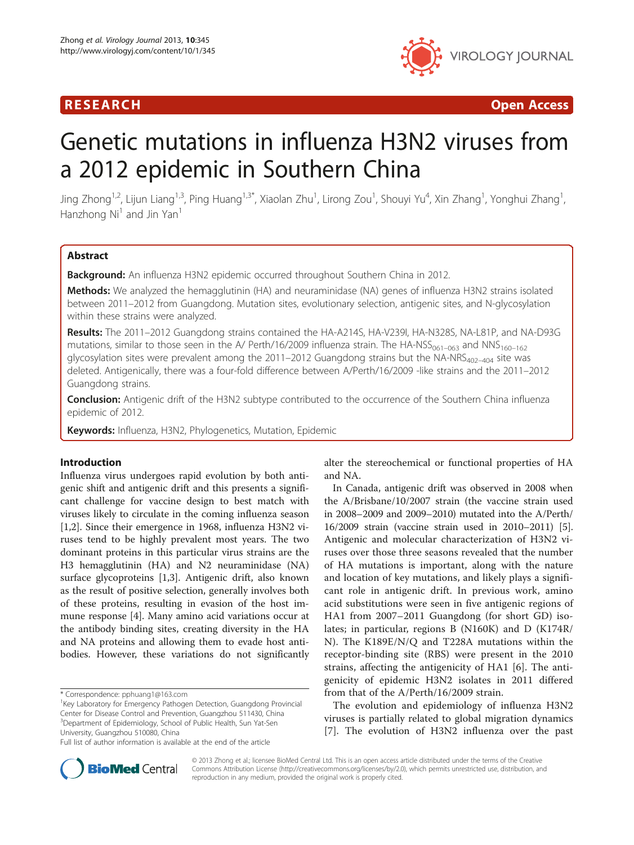

R E S EAR CH Open Access

# Genetic mutations in influenza H3N2 viruses from a 2012 epidemic in Southern China

Jing Zhong<sup>1,2</sup>, Lijun Liang<sup>1,3</sup>, Ping Huang<sup>1,3\*</sup>, Xiaolan Zhu<sup>1</sup>, Lirong Zou<sup>1</sup>, Shouyi Yu<sup>4</sup>, Xin Zhang<sup>1</sup>, Yonghui Zhang<sup>1</sup> , Hanzhong  $Ni<sup>1</sup>$  and Jin Yan<sup>1</sup>

# Abstract

Background: An influenza H3N2 epidemic occurred throughout Southern China in 2012.

Methods: We analyzed the hemagglutinin (HA) and neuraminidase (NA) genes of influenza H3N2 strains isolated between 2011–2012 from Guangdong. Mutation sites, evolutionary selection, antigenic sites, and N-glycosylation within these strains were analyzed.

Results: The 2011-2012 Guangdong strains contained the HA-A214S, HA-V239I, HA-N328S, NA-L81P, and NA-D93G mutations, similar to those seen in the A/ Perth/16/2009 influenza strain. The HA-NSS<sub>061–063</sub> and NNS<sub>160–162</sub> glycosylation sites were prevalent among the 2011–2012 Guangdong strains but the NA-NRS<sub>402–404</sub> site was deleted. Antigenically, there was a four-fold difference between A/Perth/16/2009 -like strains and the 2011–2012 Guangdong strains.

Conclusion: Antigenic drift of the H3N2 subtype contributed to the occurrence of the Southern China influenza epidemic of 2012.

Keywords: Influenza, H3N2, Phylogenetics, Mutation, Epidemic

# Introduction

Influenza virus undergoes rapid evolution by both antigenic shift and antigenic drift and this presents a significant challenge for vaccine design to best match with viruses likely to circulate in the coming influenza season [[1,2\]](#page-6-0). Since their emergence in 1968, influenza H3N2 viruses tend to be highly prevalent most years. The two dominant proteins in this particular virus strains are the H3 hemagglutinin (HA) and N2 neuraminidase (NA) surface glycoproteins [\[1,3](#page-6-0)]. Antigenic drift, also known as the result of positive selection, generally involves both of these proteins, resulting in evasion of the host immune response [\[4](#page-6-0)]. Many amino acid variations occur at the antibody binding sites, creating diversity in the HA and NA proteins and allowing them to evade host antibodies. However, these variations do not significantly

\* Correspondence: [pphuang1@163.com](mailto:pphuang1@163.com) <sup>1</sup>

<sup>1</sup>Key Laboratory for Emergency Pathogen Detection, Guangdong Provincial Center for Disease Control and Prevention, Guangzhou 511430, China 3 Department of Epidemiology, School of Public Health, Sun Yat-Sen University, Guangzhou 510080, China

Full list of author information is available at the end of the article

alter the stereochemical or functional properties of HA and NA.

In Canada, antigenic drift was observed in 2008 when the A/Brisbane/10/2007 strain (the vaccine strain used in 2008–2009 and 2009–2010) mutated into the A/Perth/ 16/2009 strain (vaccine strain used in 2010–2011) [[5](#page-6-0)]. Antigenic and molecular characterization of H3N2 viruses over those three seasons revealed that the number of HA mutations is important, along with the nature and location of key mutations, and likely plays a significant role in antigenic drift. In previous work, amino acid substitutions were seen in five antigenic regions of HA1 from 2007–2011 Guangdong (for short GD) isolates; in particular, regions B (N160K) and D (K174R/ N). The K189E/N/Q and T228A mutations within the receptor-binding site (RBS) were present in the 2010 strains, affecting the antigenicity of HA1 [[6\]](#page-6-0). The antigenicity of epidemic H3N2 isolates in 2011 differed from that of the A/Perth/16/2009 strain.

The evolution and epidemiology of influenza H3N2 viruses is partially related to global migration dynamics [[7](#page-6-0)]. The evolution of H3N2 influenza over the past



© 2013 Zhong et al.; licensee BioMed Central Ltd. This is an open access article distributed under the terms of the Creative Commons Attribution License [\(http://creativecommons.org/licenses/by/2.0\)](http://creativecommons.org/licenses/by/2.0), which permits unrestricted use, distribution, and reproduction in any medium, provided the original work is properly cited.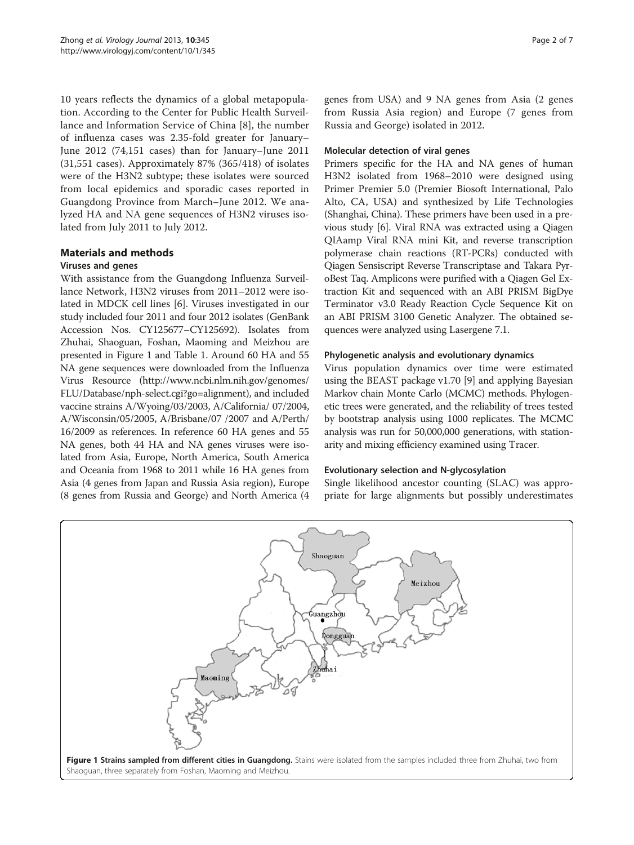10 years reflects the dynamics of a global metapopulation. According to the Center for Public Health Surveillance and Information Service of China [\[8](#page-6-0)], the number of influenza cases was 2.35-fold greater for January– June 2012 (74,151 cases) than for January–June 2011 (31,551 cases). Approximately 87% (365/418) of isolates were of the H3N2 subtype; these isolates were sourced from local epidemics and sporadic cases reported in Guangdong Province from March–June 2012. We analyzed HA and NA gene sequences of H3N2 viruses isolated from July 2011 to July 2012.

# Materials and methods

# Viruses and genes

With assistance from the Guangdong Influenza Surveillance Network, H3N2 viruses from 2011–2012 were isolated in MDCK cell lines [\[6](#page-6-0)]. Viruses investigated in our study included four 2011 and four 2012 isolates (GenBank Accession Nos. CY125677–CY125692). Isolates from Zhuhai, Shaoguan, Foshan, Maoming and Meizhou are presented in Figure 1 and Table [1](#page-2-0). Around 60 HA and 55 NA gene sequences were downloaded from the Influenza Virus Resource [\(http://www.ncbi.nlm.nih.gov/genomes/](http://www.ncbi.nlm.nih.gov/genomes/FLU/Database/nph-select.cgi?go=alignment) [FLU/Database/nph-select.cgi?go=alignment](http://www.ncbi.nlm.nih.gov/genomes/FLU/Database/nph-select.cgi?go=alignment)), and included vaccine strains A/Wyoing/03/2003, A/California/ 07/2004, A/Wisconsin/05/2005, A/Brisbane/07 /2007 and A/Perth/ 16/2009 as references. In reference 60 HA genes and 55 NA genes, both 44 HA and NA genes viruses were isolated from Asia, Europe, North America, South America and Oceania from 1968 to 2011 while 16 HA genes from Asia (4 genes from Japan and Russia Asia region), Europe (8 genes from Russia and George) and North America (4 genes from USA) and 9 NA genes from Asia (2 genes from Russia Asia region) and Europe (7 genes from Russia and George) isolated in 2012.

### Molecular detection of viral genes

Primers specific for the HA and NA genes of human H3N2 isolated from 1968–2010 were designed using Primer Premier 5.0 (Premier Biosoft International, Palo Alto, CA, USA) and synthesized by Life Technologies (Shanghai, China). These primers have been used in a previous study [\[6](#page-6-0)]. Viral RNA was extracted using a Qiagen QIAamp Viral RNA mini Kit, and reverse transcription polymerase chain reactions (RT-PCRs) conducted with Qiagen Sensiscript Reverse Transcriptase and Takara PyroBest Taq. Amplicons were purified with a Qiagen Gel Extraction Kit and sequenced with an ABI PRISM BigDye Terminator v3.0 Ready Reaction Cycle Sequence Kit on an ABI PRISM 3100 Genetic Analyzer. The obtained sequences were analyzed using Lasergene 7.1.

### Phylogenetic analysis and evolutionary dynamics

Virus population dynamics over time were estimated using the BEAST package v1.70 [[9\]](#page-6-0) and applying Bayesian Markov chain Monte Carlo (MCMC) methods. Phylogenetic trees were generated, and the reliability of trees tested by bootstrap analysis using 1000 replicates. The MCMC analysis was run for 50,000,000 generations, with stationarity and mixing efficiency examined using Tracer.

#### Evolutionary selection and N-glycosylation

Single likelihood ancestor counting (SLAC) was appropriate for large alignments but possibly underestimates

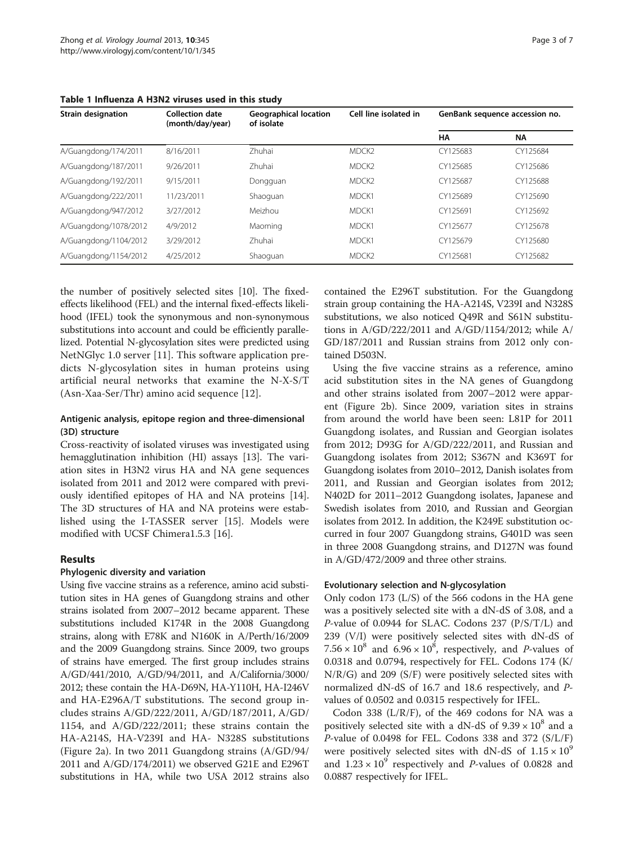| <b>Strain designation</b> | <b>Collection date</b><br>(month/day/year) | <b>Geographical location</b><br>of isolate | Cell line isolated in | GenBank sequence accession no. |           |
|---------------------------|--------------------------------------------|--------------------------------------------|-----------------------|--------------------------------|-----------|
|                           |                                            |                                            |                       | HA                             | <b>NA</b> |
| A/Guangdong/174/2011      | 8/16/2011                                  | <b>Zhuhai</b>                              | MDCK <sub>2</sub>     | CY125683                       | CY125684  |
| A/Guangdong/187/2011      | 9/26/2011                                  | Zhuhai                                     | MDCK <sub>2</sub>     | CY125685                       | CY125686  |
| A/Guangdong/192/2011      | 9/15/2011                                  | Dongguan                                   | MDCK <sub>2</sub>     | CY125687                       | CY125688  |
| A/Guangdong/222/2011      | 11/23/2011                                 | Shaoquan                                   | MDCK1                 | CY125689                       | CY125690  |
| A/Guangdong/947/2012      | 3/27/2012                                  | Meizhou                                    | MDCK1                 | CY125691                       | CY125692  |
| A/Guangdong/1078/2012     | 4/9/2012                                   | Maoming                                    | MDCK1                 | CY125677                       | CY125678  |
| A/Guangdong/1104/2012     | 3/29/2012                                  | Zhuhai                                     | MDCK1                 | CY125679                       | CY125680  |
| A/Guangdong/1154/2012     | 4/25/2012                                  | Shaoquan                                   | MDCK <sub>2</sub>     | CY125681                       | CY125682  |

<span id="page-2-0"></span>Table 1 Influenza A H3N2 viruses used in this study

the number of positively selected sites [\[10\]](#page-6-0). The fixedeffects likelihood (FEL) and the internal fixed-effects likelihood (IFEL) took the synonymous and non-synonymous substitutions into account and could be efficiently parallelized. Potential N-glycosylation sites were predicted using NetNGlyc 1.0 server [[11](#page-6-0)]. This software application predicts N-glycosylation sites in human proteins using artificial neural networks that examine the N-X-S/T (Asn-Xaa-Ser/Thr) amino acid sequence [[12\]](#page-6-0).

# Antigenic analysis, epitope region and three-dimensional (3D) structure

Cross-reactivity of isolated viruses was investigated using hemagglutination inhibition (HI) assays [\[13](#page-6-0)]. The variation sites in H3N2 virus HA and NA gene sequences isolated from 2011 and 2012 were compared with previously identified epitopes of HA and NA proteins [\[14](#page-6-0)]. The 3D structures of HA and NA proteins were established using the I-TASSER server [\[15\]](#page-6-0). Models were modified with UCSF Chimera1.5.3 [[16\]](#page-6-0).

# Results

#### Phylogenic diversity and variation

Using five vaccine strains as a reference, amino acid substitution sites in HA genes of Guangdong strains and other strains isolated from 2007–2012 became apparent. These substitutions included K174R in the 2008 Guangdong strains, along with E78K and N160K in A/Perth/16/2009 and the 2009 Guangdong strains. Since 2009, two groups of strains have emerged. The first group includes strains A/GD/441/2010, A/GD/94/2011, and A/California/3000/ 2012; these contain the HA-D69N, HA-Y110H, HA-I246V and HA-E296A/T substitutions. The second group includes strains A/GD/222/2011, A/GD/187/2011, A/GD/ 1154, and A/GD/222/2011; these strains contain the HA-A214S, HA-V239I and HA- N328S substitutions (Figure [2a](#page-3-0)). In two 2011 Guangdong strains (A/GD/94/ 2011 and A/GD/174/2011) we observed G21E and E296T substitutions in HA, while two USA 2012 strains also

contained the E296T substitution. For the Guangdong strain group containing the HA-A214S, V239I and N328S substitutions, we also noticed Q49R and S61N substitutions in A/GD/222/2011 and A/GD/1154/2012; while A/ GD/187/2011 and Russian strains from 2012 only contained D503N.

Using the five vaccine strains as a reference, amino acid substitution sites in the NA genes of Guangdong and other strains isolated from 2007–2012 were apparent (Figure [2b](#page-3-0)). Since 2009, variation sites in strains from around the world have been seen: L81P for 2011 Guangdong isolates, and Russian and Georgian isolates from 2012; D93G for A/GD/222/2011, and Russian and Guangdong isolates from 2012; S367N and K369T for Guangdong isolates from 2010–2012, Danish isolates from 2011, and Russian and Georgian isolates from 2012; N402D for 2011–2012 Guangdong isolates, Japanese and Swedish isolates from 2010, and Russian and Georgian isolates from 2012. In addition, the K249E substitution occurred in four 2007 Guangdong strains, G401D was seen in three 2008 Guangdong strains, and D127N was found in A/GD/472/2009 and three other strains.

### Evolutionary selection and N-glycosylation

Only codon 173 (L/S) of the 566 codons in the HA gene was a positively selected site with a dN-dS of 3.08, and a P-value of 0.0944 for SLAC. Codons 237 (P/S/T/L) and 239 (V/I) were positively selected sites with dN-dS of  $7.56 \times 10^8$  and  $6.96 \times 10^8$ , respectively, and *P*-values of 0.0318 and 0.0794, respectively for FEL. Codons 174 (K/ N/R/G) and 209 (S/F) were positively selected sites with normalized dN-dS of 16.7 and 18.6 respectively, and Pvalues of 0.0502 and 0.0315 respectively for IFEL.

Codon 338 (L/R/F), of the 469 codons for NA was a positively selected site with a dN-dS of  $9.39 \times 10^8$  and a P-value of 0.0498 for FEL. Codons 338 and 372 (S/L/F) were positively selected sites with dN-dS of  $1.15 \times 10^9$ and  $1.23 \times 10^9$  respectively and *P*-values of 0.0828 and 0.0887 respectively for IFEL.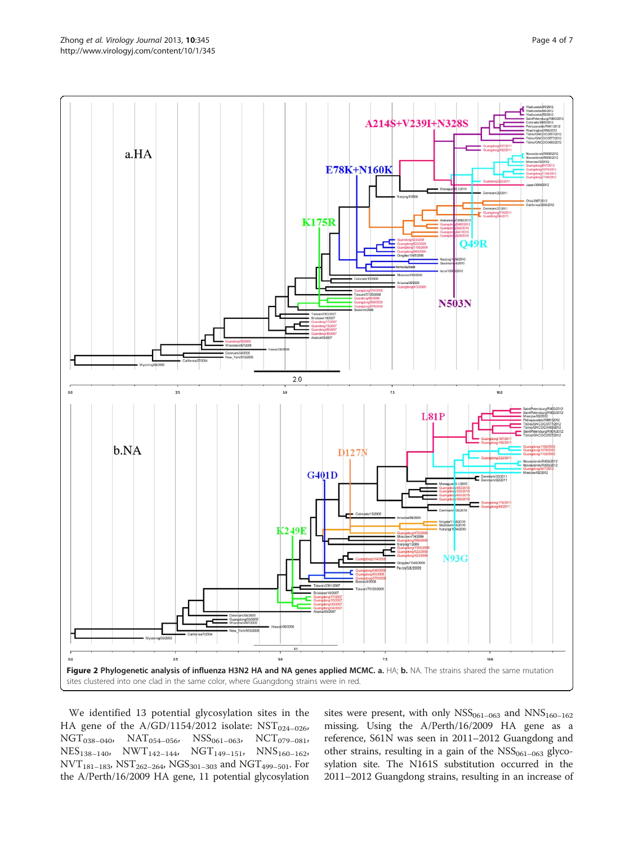<span id="page-3-0"></span>

We identified 13 potential glycosylation sites in the HA gene of the  $A/GD/1154/2012$  isolate: NST<sub>024-026</sub>,  $NGT_{038-040}$ ,  $NAT_{054-056}$ ,  $NSS_{061-063}$ ,  $NCT_{079-081}$ ,  $\text{NES}_{138-140}, \quad \text{NWT}_{142-144}, \quad \text{NGT}_{149-151}, \quad \text{NNS}_{160-162},$  $NVT_{181-183}$ ,  $NST_{262-264}$ ,  $NGS_{301-303}$  and  $NGT_{499-501}$ . For the A/Perth/16/2009 HA gene, 11 potential glycosylation

sites were present, with only  $NSS_{061-063}$  and  $NNS_{160-162}$ missing. Using the A/Perth/16/2009 HA gene as a reference, S61N was seen in 2011–2012 Guangdong and other strains, resulting in a gain of the  $NSS<sub>061–063</sub>$  glycosylation site. The N161S substitution occurred in the 2011–2012 Guangdong strains, resulting in an increase of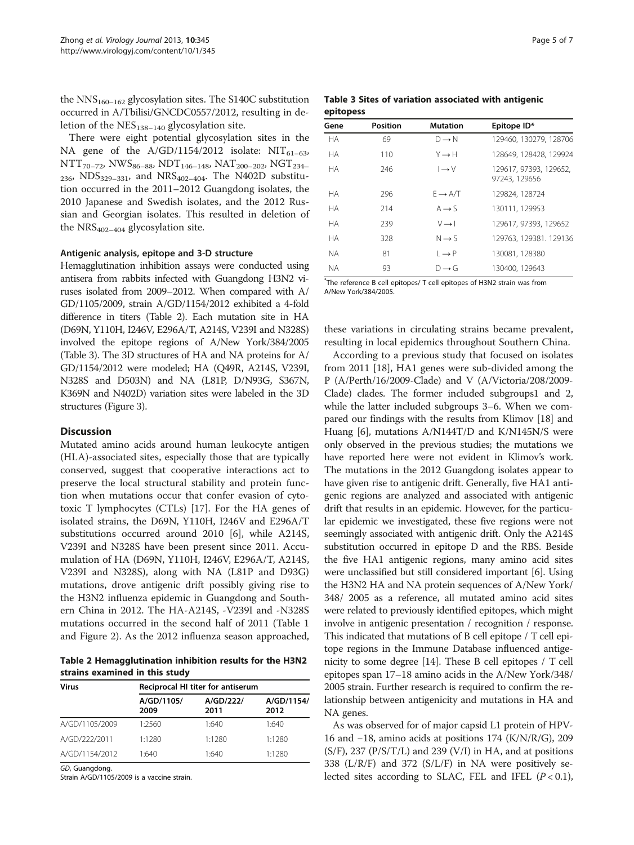the  $NNS_{160-162}$  glycosylation sites. The S140C substitution occurred in A/Tbilisi/GNCDC0557/2012, resulting in deletion of the  $NES<sub>138–140</sub>$  glycosylation site.

There were eight potential glycosylation sites in the NA gene of the  $A/GD/1154/2012$  isolate: NIT<sub>61–63</sub>,  $NTT_{70-72}$ , NWS<sub>86–88</sub>, NDT<sub>146–148</sub>, NAT<sub>200–202</sub>, NGT<sub>234–</sub>  $_{236}$ , NDS<sub>329–331</sub>, and NRS<sub>402–404</sub>. The N402D substitution occurred in the 2011–2012 Guangdong isolates, the 2010 Japanese and Swedish isolates, and the 2012 Russian and Georgian isolates. This resulted in deletion of the  $NRS_{402-404}$  glycosylation site.

#### Antigenic analysis, epitope and 3-D structure

Hemagglutination inhibition assays were conducted using antisera from rabbits infected with Guangdong H3N2 viruses isolated from 2009–2012. When compared with A/ GD/1105/2009, strain A/GD/1154/2012 exhibited a 4-fold difference in titers (Table 2). Each mutation site in HA (D69N, Y110H, I246V, E296A/T, A214S, V239I and N328S) involved the epitope regions of A/New York/384/2005 (Table 3). The 3D structures of HA and NA proteins for A/ GD/1154/2012 were modeled; HA (Q49R, A214S, V239I, N328S and D503N) and NA (L81P, D/N93G, S367N, K369N and N402D) variation sites were labeled in the 3D structures (Figure [3](#page-5-0)).

#### **Discussion**

Mutated amino acids around human leukocyte antigen (HLA)-associated sites, especially those that are typically conserved, suggest that cooperative interactions act to preserve the local structural stability and protein function when mutations occur that confer evasion of cytotoxic T lymphocytes (CTLs) [[17](#page-6-0)]. For the HA genes of isolated strains, the D69N, Y110H, I246V and E296A/T substitutions occurred around 2010 [[6\]](#page-6-0), while A214S, V239I and N328S have been present since 2011. Accumulation of HA (D69N, Y110H, I246V, E296A/T, A214S, V239I and N328S), along with NA (L81P and D93G) mutations, drove antigenic drift possibly giving rise to the H3N2 influenza epidemic in Guangdong and Southern China in 2012. The HA-A214S, -V239I and -N328S mutations occurred in the second half of 2011 (Table [1](#page-2-0) and Figure [2\)](#page-3-0). As the 2012 influenza season approached,

Table 2 Hemagglutination inhibition results for the H3N2 strains examined in this study

| <b>Virus</b>   | Reciprocal HI titer for antiserum |                   |                    |
|----------------|-----------------------------------|-------------------|--------------------|
|                | A/GD/1105/<br>2009                | A/GD/222/<br>2011 | A/GD/1154/<br>2012 |
| A/GD/1105/2009 | 1:2560                            | 1:640             | 1:640              |
| A/GD/222/2011  | 1:1280                            | 1:1280            | 1:1280             |
| A/GD/1154/2012 | 1:640                             | 1.640             | 1:1280             |

GD, Guangdong.

Strain A/GD/1105/2009 is a vaccine strain.

|           |  | Table 3 Sites of variation associated with antigenic |  |
|-----------|--|------------------------------------------------------|--|
| epitopess |  |                                                      |  |

| Gene      | Position | <b>Mutation</b>        | Epitope ID*                             |
|-----------|----------|------------------------|-----------------------------------------|
| <b>HA</b> | 69       | $D \rightarrow N$      | 129460, 130279, 128706                  |
| <b>HA</b> | 110      | $Y \rightarrow H$      | 128649, 128428, 129924                  |
| <b>HA</b> | 246      | $I \rightarrow V$      | 129617, 97393, 129652,<br>97243, 129656 |
| <b>HA</b> | 296      | $F \rightarrow A/T$    | 129824, 128724                          |
| <b>HA</b> | 214      | $A \rightarrow S$      | 130111, 129953                          |
| НA        | 239      | $V \rightarrow I$      | 129617, 97393, 129652                   |
| <b>HA</b> | 328      | $N \rightarrow S$      | 129763, 129381. 129136                  |
| <b>NA</b> | 81       | $\vdash \rightarrow P$ | 130081, 128380                          |
| <b>NA</b> | 93       | $D \rightarrow G$      | 130400, 129643                          |

\* The reference B cell epitopes/ T cell epitopes of H3N2 strain was from A/New York/384/2005.

these variations in circulating strains became prevalent, resulting in local epidemics throughout Southern China.

According to a previous study that focused on isolates from 2011 [[18\]](#page-6-0), HA1 genes were sub-divided among the P (A/Perth/16/2009-Clade) and V (A/Victoria/208/2009- Clade) clades. The former included subgroups1 and 2, while the latter included subgroups 3–6. When we compared our findings with the results from Klimov [[18](#page-6-0)] and Huang [[6](#page-6-0)], mutations A/N144T/D and K/N145N/S were only observed in the previous studies; the mutations we have reported here were not evident in Klimov's work. The mutations in the 2012 Guangdong isolates appear to have given rise to antigenic drift. Generally, five HA1 antigenic regions are analyzed and associated with antigenic drift that results in an epidemic. However, for the particular epidemic we investigated, these five regions were not seemingly associated with antigenic drift. Only the A214S substitution occurred in epitope D and the RBS. Beside the five HA1 antigenic regions, many amino acid sites were unclassified but still considered important [\[6](#page-6-0)]. Using the H3N2 HA and NA protein sequences of A/New York/ 348/ 2005 as a reference, all mutated amino acid sites were related to previously identified epitopes, which might involve in antigenic presentation / recognition / response. This indicated that mutations of B cell epitope / T cell epitope regions in the Immune Database influenced antigenicity to some degree [[14](#page-6-0)]. These B cell epitopes / T cell epitopes span 17–18 amino acids in the A/New York/348/ 2005 strain. Further research is required to confirm the relationship between antigenicity and mutations in HA and NA genes.

As was observed for of major capsid L1 protein of HPV-16 and −18, amino acids at positions 174 (K/N/R/G), 209  $(S/F)$ , 237 ( $P/S/T/L$ ) and 239 ( $V/I$ ) in HA, and at positions 338 (L/R/F) and 372 (S/L/F) in NA were positively selected sites according to SLAC, FEL and IFEL  $(P < 0.1)$ ,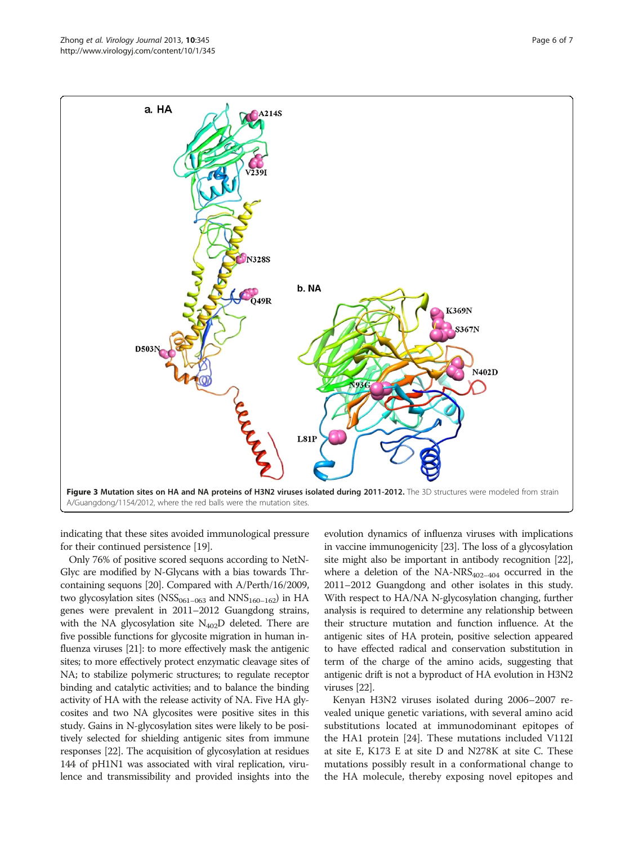<span id="page-5-0"></span>

indicating that these sites avoided immunological pressure for their continued persistence [[19](#page-6-0)].

Only 76% of positive scored sequons according to NetN-Glyc are modified by N-Glycans with a bias towards Thrcontaining sequons [\[20\]](#page-6-0). Compared with A/Perth/16/2009, two glycosylation sites ( $\text{NSS}_{061-063}$  and  $\text{NNS}_{160-162}$ ) in HA genes were prevalent in 2011–2012 Guangdong strains, with the NA glycosylation site  $N_{402}D$  deleted. There are five possible functions for glycosite migration in human influenza viruses [\[21\]](#page-6-0): to more effectively mask the antigenic sites; to more effectively protect enzymatic cleavage sites of NA; to stabilize polymeric structures; to regulate receptor binding and catalytic activities; and to balance the binding activity of HA with the release activity of NA. Five HA glycosites and two NA glycosites were positive sites in this study. Gains in N-glycosylation sites were likely to be positively selected for shielding antigenic sites from immune responses [\[22\]](#page-6-0). The acquisition of glycosylation at residues 144 of pH1N1 was associated with viral replication, virulence and transmissibility and provided insights into the

evolution dynamics of influenza viruses with implications in vaccine immunogenicity [\[23\]](#page-6-0). The loss of a glycosylation site might also be important in antibody recognition [\[22](#page-6-0)], where a deletion of the  $NA-NRS_{402-404}$  occurred in the 2011–2012 Guangdong and other isolates in this study. With respect to HA/NA N-glycosylation changing, further analysis is required to determine any relationship between their structure mutation and function influence. At the antigenic sites of HA protein, positive selection appeared to have effected radical and conservation substitution in term of the charge of the amino acids, suggesting that antigenic drift is not a byproduct of HA evolution in H3N2 viruses [\[22\]](#page-6-0).

Kenyan H3N2 viruses isolated during 2006–2007 revealed unique genetic variations, with several amino acid substitutions located at immunodominant epitopes of the HA1 protein [\[24\]](#page-6-0). These mutations included V112I at site E, K173 E at site D and N278K at site C. These mutations possibly result in a conformational change to the HA molecule, thereby exposing novel epitopes and